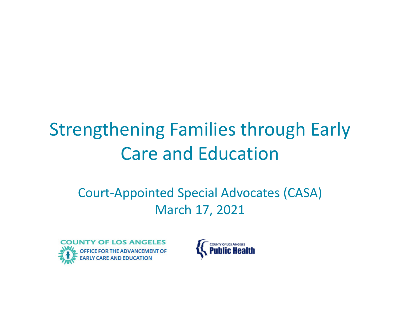# Strengthening Families through Early Care and Education

### Court ‐Appointed Special Advocates (CASA) March 17, 2021



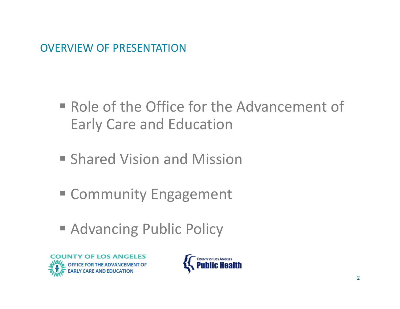OVERVIEW OF PRESENTATION

- Role of the Office for the Advancement of Early Care and Education
- **Shared Vision and Mission**
- Community Engagement
- **Advancing Public Policy**



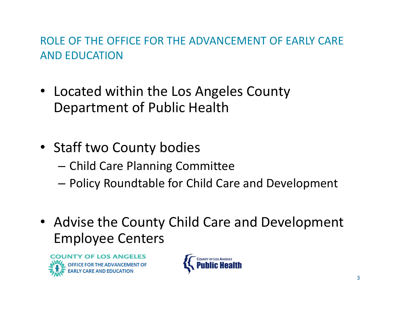#### ROLE OF THE OFFICE FOR THE ADVANCEMENT OF EARLY CARE AND EDUCATION

- Located within the Los Angeles County Department of Public Health
- Staff two County bodies
	- – $-$  Child Care Planning Committee
	- Policy Roundtable for Child Care and Development
- Advise the County Child Care and Development Employee Centers



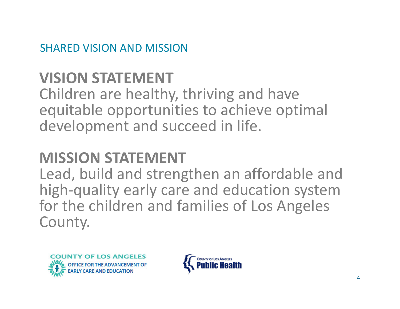SHARED VISION AND MISSION

## **VISION STATEMENT**

Children are healthy, thriving and have equitable opportunities to achieve optimal development and succeed in life.

## **MISSION STATEMENT**

Lead, build and strengthen an affordable and high ‐quality early care and education system for the children and families of Los Angeles County.



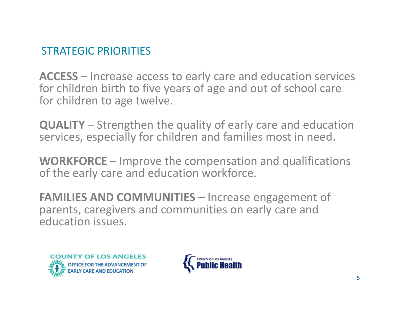#### STRATEGIC PRIORITIES

**ACCESS** – Increase access to early care and education services for children birth to five years of age and out of school care for children to age twelve.

**QUALITY** – Strengthen the quality of early care and education services, especially for children and families most in need.

**WORKFORCE** – Improve the compensation and qualifications of the early care and education workforce.

**FAMILIES AND COMMUNITIES** – Increase engagement of parents, caregivers and communities on early care and education issues.



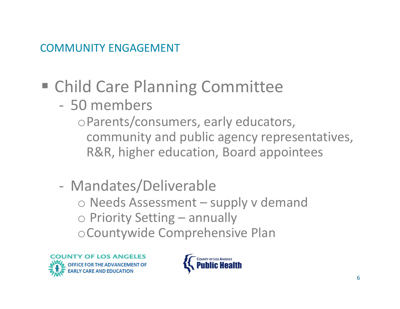#### COMMUNITY ENGAGEMENT

## Child Care Planning Committee

‐ 50 members

<sup>o</sup>Parents/consumers, early educators, community and public agency representatives, R&R, higher education, Board appointees

‐ Mandates/Deliverable o Needs Assessment – supply v demand o Priority Setting – annually <sup>o</sup>Countywide Comprehensive Plan



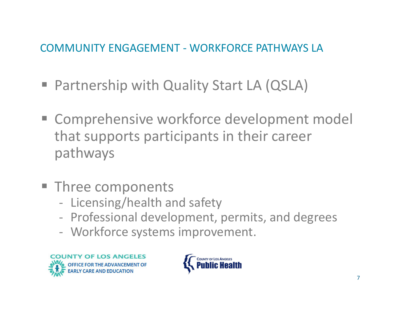#### COMMUNITY ENGAGEMENT ‐ WORKFORCE PATHWAYS LA

- Partnership with Quality Start LA (QSLA)
- **EX Comprehensive workforce development model** that supports participants in their career pathways
- **Three components** 
	- ‐- Licensing/health and safety
	- ‐Professional development, permits, and degrees
	- ‐ Workforce systems improvement.



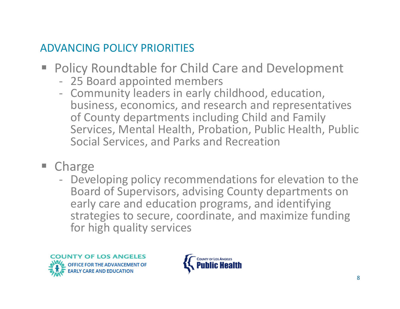#### ADVANCING POLICY PRIORITIES

- Policy Roundtable for Child Care and Development
	- ‐ 25 Board appointed members
	- Community leaders in early childhood, education, business, economics, and research and representatives of County departments including Child and Family Services, Mental Health, Probation, Public Health, Public Social Services, and Parks and Recreation
- F **Charge** 
	- Developing policy recommendations for elevation to the Board of Supervisors, advising County departments on early care and education programs, and identifying strategies to secure, coordinate, and maximize funding for high quality services